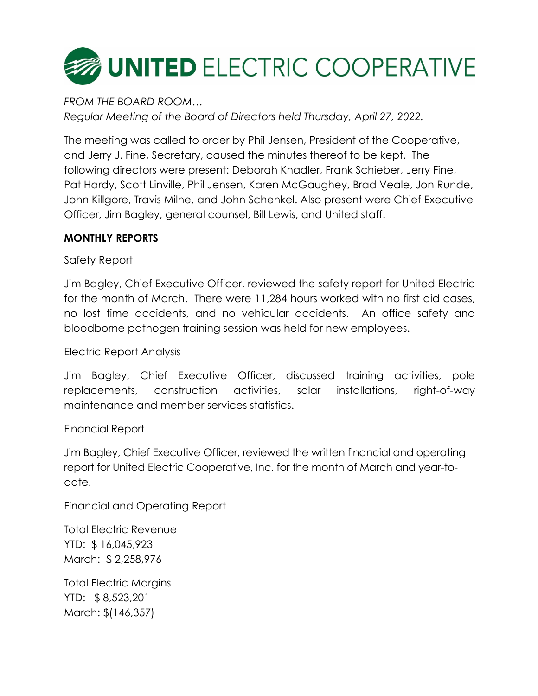

*FROM THE BOARD ROOM… Regular Meeting of the Board of Directors held Thursday, April 27, 2022.*

The meeting was called to order by Phil Jensen, President of the Cooperative, and Jerry J. Fine, Secretary, caused the minutes thereof to be kept. The following directors were present: Deborah Knadler, Frank Schieber, Jerry Fine, Pat Hardy, Scott Linville, Phil Jensen, Karen McGaughey, Brad Veale, Jon Runde, John Killgore, Travis Milne, and John Schenkel. Also present were Chief Executive Officer, Jim Bagley, general counsel, Bill Lewis, and United staff.

# **MONTHLY REPORTS**

# Safety Report

Jim Bagley, Chief Executive Officer, reviewed the safety report for United Electric for the month of March. There were 11,284 hours worked with no first aid cases, no lost time accidents, and no vehicular accidents. An office safety and bloodborne pathogen training session was held for new employees.

# Electric Report Analysis

Jim Bagley, Chief Executive Officer, discussed training activities, pole replacements, construction activities, solar installations, right-of-way maintenance and member services statistics.

# Financial Report

Jim Bagley, Chief Executive Officer, reviewed the written financial and operating report for United Electric Cooperative, Inc. for the month of March and year-todate.

# Financial and Operating Report

Total Electric Revenue YTD: \$ 16,045,923 March: \$ 2,258,976

Total Electric Margins YTD: \$ 8,523,201 March: \$(146,357)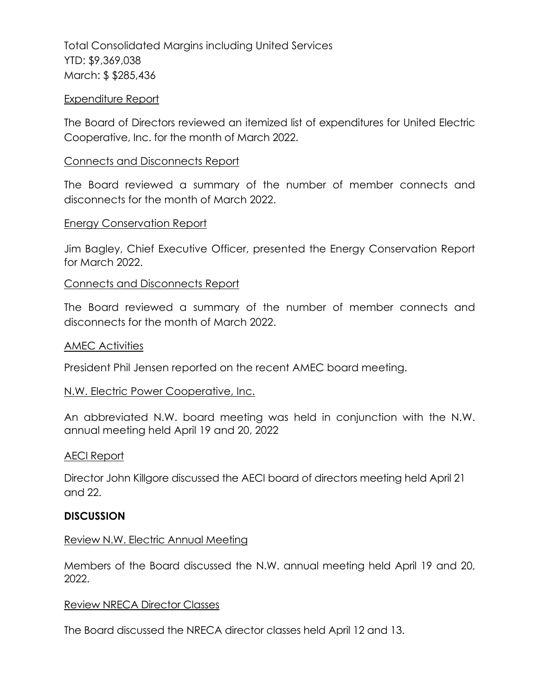Total Consolidated Margins including United Services YTD: \$9,369,038 March: \$ \$285,436

### Expenditure Report

The Board of Directors reviewed an itemized list of expenditures for United Electric Cooperative, Inc. for the month of March 2022.

#### Connects and Disconnects Report

The Board reviewed a summary of the number of member connects and disconnects for the month of March 2022.

#### Energy Conservation Report

Jim Bagley, Chief Executive Officer, presented the Energy Conservation Report for March 2022.

#### Connects and Disconnects Report

The Board reviewed a summary of the number of member connects and disconnects for the month of March 2022.

#### AMEC Activities

President Phil Jensen reported on the recent AMEC board meeting.

## N.W. Electric Power Cooperative, Inc.

An abbreviated N.W. board meeting was held in conjunction with the N.W. annual meeting held April 19 and 20, 2022

## AECI Report

Director John Killgore discussed the AECI board of directors meeting held April 21 and 22.

## **DISCUSSION**

## Review N.W. Electric Annual Meeting

Members of the Board discussed the N.W. annual meeting held April 19 and 20, 2022.

## Review NRECA Director Classes

The Board discussed the NRECA director classes held April 12 and 13.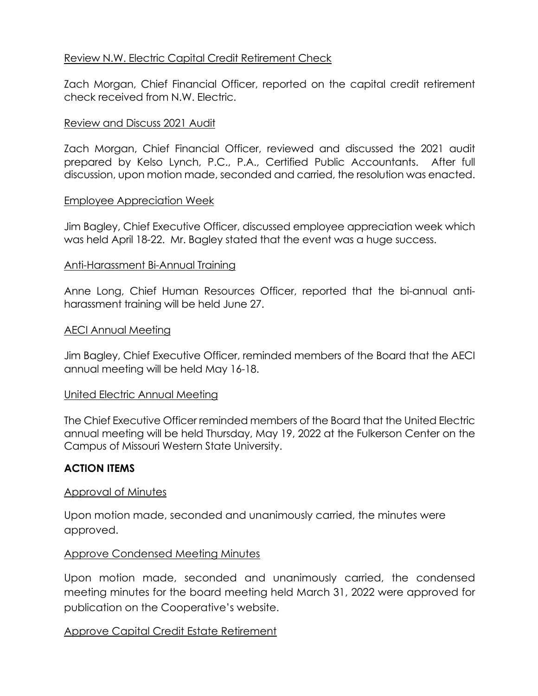# Review N.W. Electric Capital Credit Retirement Check

Zach Morgan, Chief Financial Officer, reported on the capital credit retirement check received from N.W. Electric.

## Review and Discuss 2021 Audit

Zach Morgan, Chief Financial Officer, reviewed and discussed the 2021 audit prepared by Kelso Lynch, P.C., P.A., Certified Public Accountants. After full discussion, upon motion made, seconded and carried, the resolution was enacted.

## Employee Appreciation Week

Jim Bagley, Chief Executive Officer, discussed employee appreciation week which was held April 18-22. Mr. Bagley stated that the event was a huge success.

## Anti-Harassment Bi-Annual Training

Anne Long, Chief Human Resources Officer, reported that the bi-annual antiharassment training will be held June 27.

## AECI Annual Meeting

Jim Bagley, Chief Executive Officer, reminded members of the Board that the AECI annual meeting will be held May 16-18.

## United Electric Annual Meeting

The Chief Executive Officer reminded members of the Board that the United Electric annual meeting will be held Thursday, May 19, 2022 at the Fulkerson Center on the Campus of Missouri Western State University.

# **ACTION ITEMS**

## Approval of Minutes

Upon motion made, seconded and unanimously carried, the minutes were approved.

# Approve Condensed Meeting Minutes

Upon motion made, seconded and unanimously carried, the condensed meeting minutes for the board meeting held March 31, 2022 were approved for publication on the Cooperative's website.

# Approve Capital Credit Estate Retirement